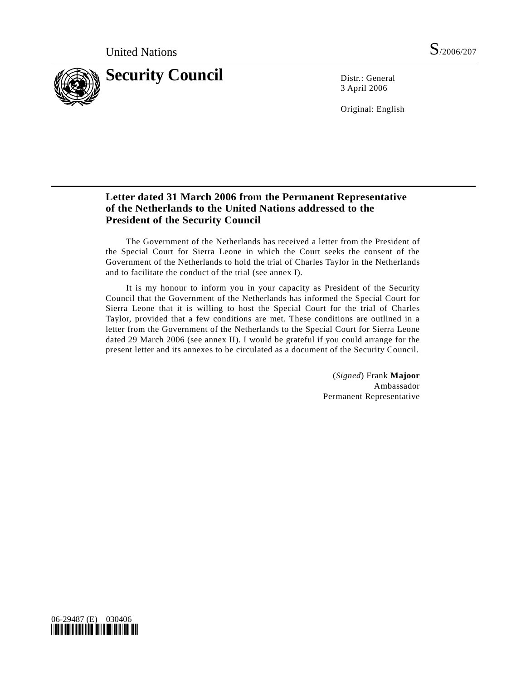

3 April 2006

Original: English

## **Letter dated 31 March 2006 from the Permanent Representative of the Netherlands to the United Nations addressed to the President of the Security Council**

 The Government of the Netherlands has received a letter from the President of the Special Court for Sierra Leone in which the Court seeks the consent of the Government of the Netherlands to hold the trial of Charles Taylor in the Netherlands and to facilitate the conduct of the trial (see annex I).

 It is my honour to inform you in your capacity as President of the Security Council that the Government of the Netherlands has informed the Special Court for Sierra Leone that it is willing to host the Special Court for the trial of Charles Taylor, provided that a few conditions are met. These conditions are outlined in a letter from the Government of the Netherlands to the Special Court for Sierra Leone dated 29 March 2006 (see annex II). I would be grateful if you could arrange for the present letter and its annexes to be circulated as a document of the Security Council.

> (*Signed*) Frank **Majoor** Ambassador Permanent Representative

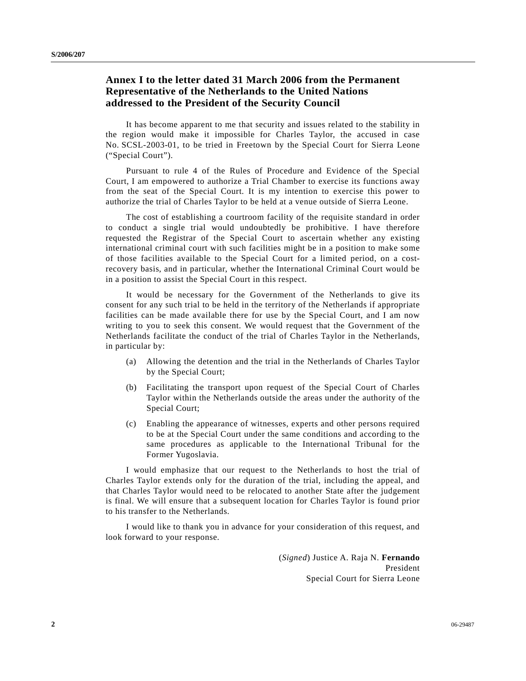## **Annex I to the letter dated 31 March 2006 from the Permanent Representative of the Netherlands to the United Nations addressed to the President of the Security Council**

 It has become apparent to me that security and issues related to the stability in the region would make it impossible for Charles Taylor, the accused in case No. SCSL-2003-01, to be tried in Freetown by the Special Court for Sierra Leone ("Special Court").

 Pursuant to rule 4 of the Rules of Procedure and Evidence of the Special Court, I am empowered to authorize a Trial Chamber to exercise its functions away from the seat of the Special Court. It is my intention to exercise this power to authorize the trial of Charles Taylor to be held at a venue outside of Sierra Leone.

 The cost of establishing a courtroom facility of the requisite standard in order to conduct a single trial would undoubtedly be prohibitive. I have therefore requested the Registrar of the Special Court to ascertain whether any existing international criminal court with such facilities might be in a position to make some of those facilities available to the Special Court for a limited period, on a costrecovery basis, and in particular, whether the International Criminal Court would be in a position to assist the Special Court in this respect.

 It would be necessary for the Government of the Netherlands to give its consent for any such trial to be held in the territory of the Netherlands if appropriate facilities can be made available there for use by the Special Court, and I am now writing to you to seek this consent. We would request that the Government of the Netherlands facilitate the conduct of the trial of Charles Taylor in the Netherlands, in particular by:

- (a) Allowing the detention and the trial in the Netherlands of Charles Taylor by the Special Court;
- (b) Facilitating the transport upon request of the Special Court of Charles Taylor within the Netherlands outside the areas under the authority of the Special Court;
- (c) Enabling the appearance of witnesses, experts and other persons required to be at the Special Court under the same conditions and according to the same procedures as applicable to the International Tribunal for the Former Yugoslavia.

 I would emphasize that our request to the Netherlands to host the trial of Charles Taylor extends only for the duration of the trial, including the appeal, and that Charles Taylor would need to be relocated to another State after the judgement is final. We will ensure that a subsequent location for Charles Taylor is found prior to his transfer to the Netherlands.

 I would like to thank you in advance for your consideration of this request, and look forward to your response.

> (*Signed*) Justice A. Raja N. **Fernando** President Special Court for Sierra Leone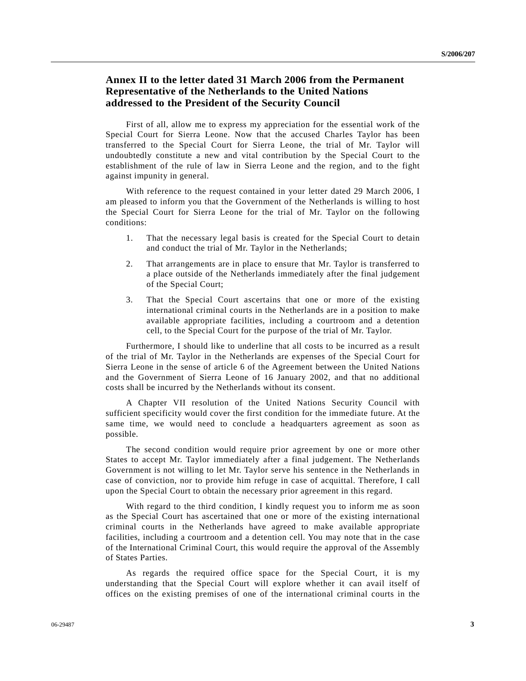## **Annex II to the letter dated 31 March 2006 from the Permanent Representative of the Netherlands to the United Nations addressed to the President of the Security Council**

 First of all, allow me to express my appreciation for the essential work of the Special Court for Sierra Leone. Now that the accused Charles Taylor has been transferred to the Special Court for Sierra Leone, the trial of Mr. Taylor will undoubtedly constitute a new and vital contribution by the Special Court to the establishment of the rule of law in Sierra Leone and the region, and to the fight against impunity in general.

 With reference to the request contained in your letter dated 29 March 2006, I am pleased to inform you that the Government of the Netherlands is willing to host the Special Court for Sierra Leone for the trial of Mr. Taylor on the following conditions:

- 1. That the necessary legal basis is created for the Special Court to detain and conduct the trial of Mr. Taylor in the Netherlands;
- 2. That arrangements are in place to ensure that Mr. Taylor is transferred to a place outside of the Netherlands immediately after the final judgement of the Special Court;
- 3. That the Special Court ascertains that one or more of the existing international criminal courts in the Netherlands are in a position to make available appropriate facilities, including a courtroom and a detention cell, to the Special Court for the purpose of the trial of Mr. Taylor.

 Furthermore, I should like to underline that all costs to be incurred as a result of the trial of Mr. Taylor in the Netherlands are expenses of the Special Court for Sierra Leone in the sense of article 6 of the Agreement between the United Nations and the Government of Sierra Leone of 16 January 2002, and that no additional costs shall be incurred by the Netherlands without its consent.

 A Chapter VII resolution of the United Nations Security Council with sufficient specificity would cover the first condition for the immediate future. At the same time, we would need to conclude a headquarters agreement as soon as possible.

 The second condition would require prior agreement by one or more other States to accept Mr. Taylor immediately after a final judgement. The Netherlands Government is not willing to let Mr. Taylor serve his sentence in the Netherlands in case of conviction, nor to provide him refuge in case of acquittal. Therefore, I call upon the Special Court to obtain the necessary prior agreement in this regard.

 With regard to the third condition, I kindly request you to inform me as soon as the Special Court has ascertained that one or more of the existing international criminal courts in the Netherlands have agreed to make available appropriate facilities, including a courtroom and a detention cell. You may note that in the case of the International Criminal Court, this would require the approval of the Assembly of States Parties.

 As regards the required office space for the Special Court, it is my understanding that the Special Court will explore whether it can avail itself of offices on the existing premises of one of the international criminal courts in the